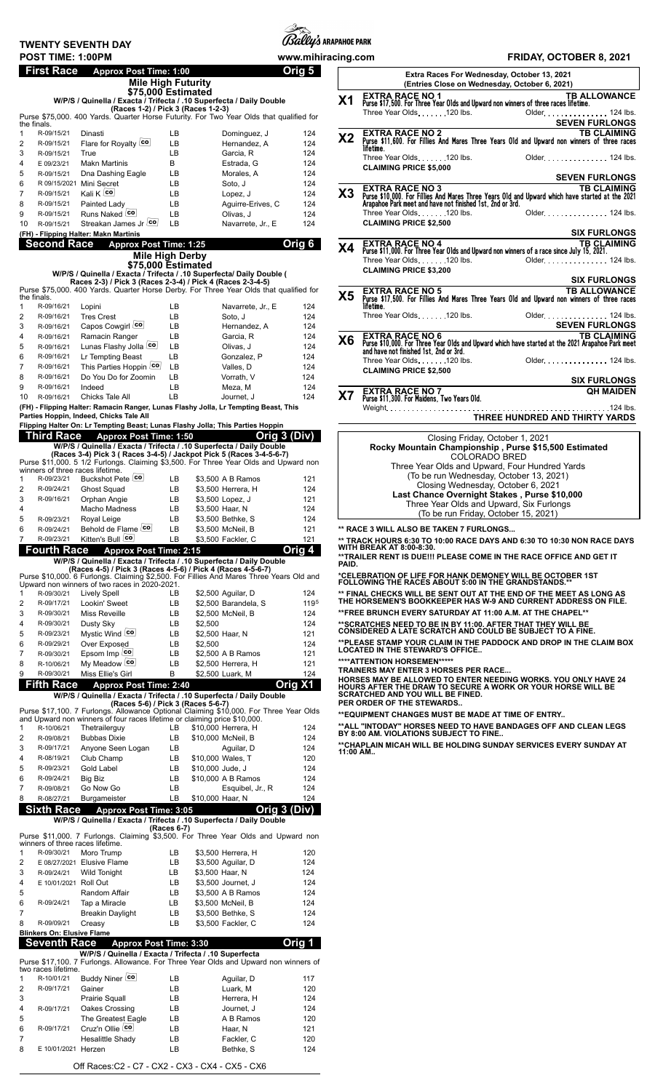## **TWENTY SEVENTH DAY**



|                  | First Race               | <b>Approx Post Time: 1:00</b>                                                                                                                                      |             |                                         |                                | 5<br>Oria    |
|------------------|--------------------------|--------------------------------------------------------------------------------------------------------------------------------------------------------------------|-------------|-----------------------------------------|--------------------------------|--------------|
|                  |                          | <b>Mile High Futurity</b><br>\$75,000 Estimated                                                                                                                    |             |                                         |                                |              |
|                  |                          | W/P/S / Quinella / Exacta / Trifecta / .10 Superfecta / Daily Double<br>(Races 1-2) / Pick 3 (Races 1-2-3)                                                         |             |                                         |                                |              |
|                  |                          | Purse \$75,000. 400 Yards. Quarter Horse Futurity. For Two Year Olds that qualified for                                                                            |             |                                         |                                |              |
| the finals.<br>1 | R-09/15/21               | Dinasti                                                                                                                                                            | LB          |                                         | Dominguez, J                   | 124          |
| 2                | R-09/15/21               | Flare for Royalty co                                                                                                                                               | LB.         |                                         | Hernandez. A                   | 124          |
| 3<br>4           | R-09/15/21<br>E 09/23/21 | True<br><b>Makn Martinis</b>                                                                                                                                       | LВ<br>В     |                                         | Garcia, R<br>Estrada, G        | 124<br>124   |
| 5                | R-09/15/21               | Dna Dashing Eagle                                                                                                                                                  | LB.         |                                         | Morales, A                     | 124          |
| 6                |                          | R 09/15/2021 Mini Secret                                                                                                                                           | LB          |                                         | Soto, J                        | 124          |
| 7                | R-09/15/21               | Kali K co                                                                                                                                                          | LВ          |                                         | Lopez, J                       | 124          |
| 8<br>9           | R-09/15/21<br>R-09/15/21 | Painted Lady<br>Runs Naked co                                                                                                                                      | LВ<br>LВ    |                                         | Aquirre-Erives, C<br>Olivas, J | 124<br>124   |
| 10               | R-09/15/21               | Streakan James Jr co                                                                                                                                               | LВ          |                                         | Navarrete, Jr., E              | 124          |
|                  |                          | (FH) - Flipping Halter: Makn Martinis                                                                                                                              |             |                                         |                                |              |
|                  | <b>Second Race</b>       | <b>Approx Post Time: 1:25</b>                                                                                                                                      |             |                                         |                                | Orig 6       |
|                  |                          | <b>Mile High Derby</b><br>\$75,000 Estimated                                                                                                                       |             |                                         |                                |              |
|                  |                          | W/P/S / Quinella / Exacta / Trifecta / .10 Superfecta/ Daily Double (<br>Races 2-3) / Pick 3 (Races 2-3-4) / Pick 4 (Races 2-3-4-5)                                |             |                                         |                                |              |
|                  |                          | Purse \$75,000. 400 Yards. Quarter Horse Derby. For Three Year Olds that qualified for                                                                             |             |                                         |                                |              |
| the finals.<br>1 | R-09/16/21               | Lopini                                                                                                                                                             | LB.         |                                         | Navarrete, Jr., E              | 124          |
| $\overline{2}$   | R-09/16/21               | <b>Tres Crest</b>                                                                                                                                                  | LВ          |                                         | Soto, J                        | 124          |
| 3                | R-09/16/21               | Capos Cowgirl co                                                                                                                                                   | LВ          |                                         | Hernandez, A                   | 124          |
| 4<br>5           | R-09/16/21<br>R-09/16/21 | Ramacin Ranger<br>Lunas Flashy Jolla co                                                                                                                            | LВ<br>LВ    |                                         | Garcia, R<br>Olivas, J         | 124<br>124   |
| 6                | R-09/16/21               | Lr Tempting Beast                                                                                                                                                  | LВ          |                                         | Gonzalez, P                    | 124          |
| 7                | R-09/16/21               | This Parties Hoppin [co]                                                                                                                                           | LВ          |                                         | Valles, D                      | 124          |
| 8                | R-09/16/21               | Do You Do for Zoomin                                                                                                                                               | LВ          |                                         | Vorrath. V                     | 124          |
| 9<br>10          | R-09/16/21<br>R-09/16/21 | Indeed<br>Chicks Tale All                                                                                                                                          | LВ<br>LB    |                                         | Meza, M<br>Journet, J          | 124<br>124   |
|                  |                          | (FH) - Flipping Halter: Ramacin Ranger, Lunas Flashy Jolla, Lr Tempting Beast, This                                                                                |             |                                         |                                |              |
|                  |                          | Parties Hoppin, Indeed, Chicks Tale All                                                                                                                            |             |                                         |                                |              |
|                  | Third Race               | Flipping Halter On: Lr Tempting Beast; Lunas Flashy Jolla; This Parties Hoppin<br><b>Approx Post Time: 1:50</b>                                                    |             |                                         |                                | Orig 3 (Div) |
|                  |                          | W/P/S / Quinella / Exacta / Trifecta / .10 Superfecta / Daily Double                                                                                               |             |                                         |                                |              |
|                  |                          | (Races 3-4) Pick 3 (Races 3-4-5) / Jackpot Pick 5 (Races 3-4-5-6-7)<br>Purse \$11,000. 5 1/2 Furlongs. Claiming \$3,500. For Three Year Olds and Upward non        |             |                                         |                                |              |
|                  |                          | winners of three races lifetime.                                                                                                                                   |             |                                         |                                |              |
| 1<br>2           | R-09/23/21<br>R-09/24/21 | Buckshot Pete co<br>Ghost Squad                                                                                                                                    | LB.<br>LB.  | \$3,500 A B Ramos<br>\$3,500 Herrera, H |                                | 121<br>124   |
| 3                | R-09/16/21               | Orphan Angie                                                                                                                                                       | LB          | \$3,500 Lopez, J                        |                                | 121          |
| 4                |                          | <b>Macho Madness</b>                                                                                                                                               | LB.         | \$3,500 Haar, N                         |                                | 124          |
| 5                | R-09/23/21<br>R-09/24/21 | Royal Leige<br>Behold de Flame co                                                                                                                                  | LВ          | \$3,500 Bethke, S                       |                                | 124          |
| 6<br>7           | R-09/23/21               | Kitten's Bull co                                                                                                                                                   | LВ<br>LВ    | \$3,500 McNeil, B<br>\$3,500 Fackler, C |                                | 121<br>121   |
|                  | <b>Fourth Race</b>       | <b>Approx Post Time: 2:15</b>                                                                                                                                      |             |                                         |                                | ∩ria<br>Λ    |
|                  |                          | W/P/S / Quinella / Exacta / Trifecta / .10 Superfecta / Daily Double                                                                                               |             |                                         |                                |              |
|                  |                          | (Races 4-5) / Pick 3 (Races 4-5-6) / Pick 4 (Races 4-5-6-7)<br>Purse \$10,000. 6 Furlongs. Claiming \$2,500. For Fillies And Mares Three Years Old and             |             |                                         |                                |              |
| 1                | R-09/30/21               | Upward non winners of two races in 2020-2021.<br><b>Lively Spell</b>                                                                                               | LВ          | \$2,500 Aguilar, D                      |                                | 124          |
| 2                | R-09/17/21               | Lookin' Sweet                                                                                                                                                      | LВ          | \$2,500 Barandela, S                    |                                | 1195         |
| 3                | R-09/30/21               | <b>Miss Reveille</b>                                                                                                                                               | LВ          | \$2,500 McNeil, B                       |                                | 124          |
| 4                | R-09/30/21               | Dusty Sky                                                                                                                                                          | LВ          | \$2,500                                 |                                | 124          |
| 5<br>6           | R-09/23/21<br>R-09/29/21 | Mystic Wind co<br>Over Exposed                                                                                                                                     | LB<br>LВ    | \$2,500 Haar, N<br>\$2,500              |                                | 121<br>124   |
| 7                | R-09/30/21               | Epsom Imp co                                                                                                                                                       | LВ          | \$2,500 A B Ramos                       |                                | 121          |
| 8                | R-10/06/21               | My Meadow co                                                                                                                                                       | LВ          | \$2,500 Herrera, H                      |                                | 121          |
| 9                | R-09/30/21               | Miss Ellie's Girl                                                                                                                                                  | В           | \$2,500 Luark, M                        |                                | 124          |
|                  | Fifth Race               | <b>Approx Post Time: 2:40</b><br>W/P/S / Quinella / Exacta / Trifecta / .10 Superfecta / Daily Double                                                              |             |                                         |                                | Orig X1      |
|                  |                          | (Races 5-6) / Pick 3 (Races 5-6-7)                                                                                                                                 |             |                                         |                                |              |
|                  |                          | Purse \$17,100. 7 Furlongs. Allowance Optional Claiming \$10,000. For Three Year Olds<br>and Upward non winners of four races lifetime or claiming price \$10,000. |             |                                         |                                |              |
| 1                | R-10/06/21               | Thetrailerguy                                                                                                                                                      | LB.         | \$10,000 Herrera, H                     |                                | 124          |
| 2                | R-09/08/21               | <b>Bubbas Dixie</b>                                                                                                                                                | LВ          | \$10,000 McNeil, B                      |                                | 124          |
| 3<br>4           | R-09/17/21<br>R-08/19/21 | Anyone Seen Logan<br>Club Champ                                                                                                                                    | LB<br>LВ    | \$10,000 Wales, T                       | Aguilar, D                     | 124<br>120   |
| 5                | R-09/23/21               | Gold Label                                                                                                                                                         | LВ          | \$10,000 Jude, J                        |                                | 124          |
| 6                | R-09/24/21               | Big Biz                                                                                                                                                            | LВ          | \$10,000 A B Ramos                      |                                | 124          |
| 7<br>8           | R-09/08/21<br>R-08/27/21 | Go Now Go                                                                                                                                                          | LВ<br>LВ    |                                         | Esquibel, Jr., R               | 124<br>124   |
|                  | <b>Sixth Race</b>        | Burgameister<br><b>Approx Post Time: 3:05</b>                                                                                                                      |             | \$10,000 Haar, N                        |                                | Orig 3 (Div) |
|                  |                          | W/P/S / Quinella / Exacta / Trifecta / .10 Superfecta / Daily Double                                                                                               |             |                                         |                                |              |
|                  |                          | Purse \$11,000. 7 Furlongs. Claiming \$3,500. For Three Year Olds and Upward non                                                                                   | (Races 6-7) |                                         |                                |              |
|                  |                          | winners of three races lifetime.                                                                                                                                   |             |                                         |                                |              |
| 1<br>2           | R-09/30/21               | Moro Trump<br>E 08/27/2021 Elusive Flame                                                                                                                           | LB<br>LВ    | \$3,500 Herrera, H                      |                                | 120<br>124   |
| 3                | R-09/24/21               | Wild Tonight                                                                                                                                                       | LB.         | \$3,500 Aguilar, D<br>\$3,500 Haar, N   |                                | 124          |
| 4                |                          | E 10/01/2021 Roll Out                                                                                                                                              | LВ          | \$3,500 Journet, J                      |                                | 124          |
| 5                |                          | Random Affair                                                                                                                                                      | LB.         | \$3,500 A B Ramos                       |                                | 124          |
| 6<br>7           | R-09/24/21               | Tap a Miracle                                                                                                                                                      | LB          | \$3,500 McNeil, B                       |                                | 124          |
| 8                | R-09/09/21               | <b>Breakin Daylight</b><br>Creasy                                                                                                                                  | LB<br>LВ    | \$3,500 Bethke, S<br>\$3,500 Fackler, C |                                | 124<br>124   |
|                  |                          | <b>Blinkers On: Elusive Flame</b>                                                                                                                                  |             |                                         |                                |              |
|                  | <b>Seventh Race</b>      | <b>Approx Post Time: 3:30</b>                                                                                                                                      |             |                                         |                                | Orig 1       |
|                  |                          | W/P/S / Quinella / Exacta / Trifecta / .10 Superfecta<br>Purse \$17,100. 7 Furlongs. Allowance. For Three Year Olds and Upward non winners of                      |             |                                         |                                |              |
|                  | two races lifetime.      |                                                                                                                                                                    |             |                                         |                                |              |
| 1<br>2           | R-10/01/21               | Buddy Niner co                                                                                                                                                     | LВ          |                                         | Aquilar, D                     | 117          |
| 3                | R-09/17/21               | Gainer<br>Prairie Squall                                                                                                                                           | LB<br>LВ    |                                         | Luark, M<br>Herrera, H         | 120<br>124   |
| 4                | R-09/17/21               | Oakes Crossing                                                                                                                                                     | LB          |                                         | Journet, J                     | 124          |
| 5                |                          | The Greatest Eagle                                                                                                                                                 | LВ          |                                         | A B Ramos                      | 120          |
| 6                | R-09/17/21               | Cruz'n Ollie <sup>[co]</sup>                                                                                                                                       | LВ          |                                         | Haar, N                        | 121          |
| 7                |                          | Hesalittle Shady<br>8 E 10/01/2021 Herzen                                                                                                                          | LB.<br>LB.  |                                         | Fackler, C<br>Bethke S         | 120<br>124   |
|                  |                          |                                                                                                                                                                    |             |                                         |                                |              |

Off Races:C2 - C7 - CX2 - CX3 - CX4 - CX5 - CX6

| www.mihiracing.com |                | FRIDAY, OCTOBER 8, 2021                                                                                                                                                                  |  |  |  |  |  |
|--------------------|----------------|------------------------------------------------------------------------------------------------------------------------------------------------------------------------------------------|--|--|--|--|--|
| Orig 5             |                | Extra Races For Wednesday, October 13, 2021<br>(Entries Close on Wednesday, October 6, 2021)                                                                                             |  |  |  |  |  |
| ble                | X <sub>1</sub> | <b>EXTRA RACE NO 1</b><br><b>TB ALLOWANCE</b><br>Purse \$17,500. For Three Year Olds and Upward non winners of three races lifetime.                                                     |  |  |  |  |  |
| qualified for      |                | Three Year Olds. 120 lbs.<br>Older. 124 lbs.<br><b>SEVEN FURLONGS</b>                                                                                                                    |  |  |  |  |  |
| 124                | X2             | <b>EXTRA RACE NO 2</b><br><b>TB CLAIMING</b><br>Purse \$11,600. For Fillies And Mares Three Years Old and Upward non winners of three races                                              |  |  |  |  |  |
| 124<br>124         |                | lifetime.<br>Three Year Olds120 lbs.<br>Older 124 lbs.                                                                                                                                   |  |  |  |  |  |
| 124<br>124         |                | <b>CLAIMING PRICE \$5,000</b>                                                                                                                                                            |  |  |  |  |  |
| 124<br>124         | X3             | <b>SEVEN FURLONGS</b><br><b>EXTRA RACE NO 3</b><br><b>TB CLAIMING</b>                                                                                                                    |  |  |  |  |  |
| 124<br>C           |                | Purse \$10,000. For Fillies And Mares Three Years Old and Upward which have started at the 2021<br>Arapahoe Park meet and have not finished 1st, 2nd or 3rd.<br>Older. 124 lbs.          |  |  |  |  |  |
| 124<br>124         |                | Three Year Olds. 120 lbs.<br><b>CLAIMING PRICE \$2,500</b>                                                                                                                               |  |  |  |  |  |
| Orig 6             |                | <b>SIX FURLONGS</b><br><b>EXTRA RACE NO 4</b><br><b>TB CLAIMING</b>                                                                                                                      |  |  |  |  |  |
|                    | X4             | Purse \$11,000. For Three Year Olds and Upward non winners of a race since July 15, 2021.<br>Three Year Olds. 120 lbs.<br>Older. 124 lbs.                                                |  |  |  |  |  |
| le (               |                | <b>CLAIMING PRICE \$3,200</b>                                                                                                                                                            |  |  |  |  |  |
| qualified for      | <b>X5</b>      | <b>SIX FURLONGS</b><br><b>TB ALLOWANCE</b><br><b>EXTRA RACE NO 5</b>                                                                                                                     |  |  |  |  |  |
| 124                |                | Purse \$17,500. For Fillies And Mares Three Years Old and Upward non winners of three races<br>lifetime.<br>Three Year Olds. 120 lbs.                                                    |  |  |  |  |  |
| 124<br>124         |                | Older. 124 lbs.<br><b>SEVEN FURLONGS</b>                                                                                                                                                 |  |  |  |  |  |
| 124<br>124         | X6             | <b>EXTRA RACE NO 6</b> TB CLAIMING<br>Purse \$10,000. For Three Year Olds and Upward which have started at the 2021 Arapahoe Park meet<br>and have not finished 1st, 2nd or 3rd.         |  |  |  |  |  |
| 124<br>124         |                | Three Year Olds. 120 lbs.<br>Older 124 lbs.                                                                                                                                              |  |  |  |  |  |
| 124                |                | <b>CLAIMING PRICE \$2,500</b><br><b>SIX FURLONGS</b><br><u> 1989 - Johann Barbara, martxa al</u>                                                                                         |  |  |  |  |  |
| 124<br>124         | X7             | <b>OH MAIDEN</b><br><b>EXTRA RACE NO 7</b><br>Purse \$11,300. For Maidens, Two Years Old.                                                                                                |  |  |  |  |  |
| st. This           |                | THREE HUNDRED AND THIRTY YARDS                                                                                                                                                           |  |  |  |  |  |
| )in<br>1 3 (Div)   |                | Closing Friday, October 1, 2021                                                                                                                                                          |  |  |  |  |  |
| ble<br>6-7)        |                | Rocky Mountain Championship, Purse \$15,500 Estimated<br><b>COLORADO BRED</b>                                                                                                            |  |  |  |  |  |
| Upward non         |                | Three Year Olds and Upward, Four Hundred Yards                                                                                                                                           |  |  |  |  |  |
| 121<br>124         |                | (To be run Wednesday, October 13, 2021)<br>Closing Wednesday, October 6, 2021                                                                                                            |  |  |  |  |  |
| 121                |                | Last Chance Overnight Stakes, Purse \$10,000<br>Three Year Olds and Upward, Six Furlongs                                                                                                 |  |  |  |  |  |
| 124<br>124         |                | (To be run Friday, October 15, 2021)                                                                                                                                                     |  |  |  |  |  |
| 121<br>121         |                | ** RACE 3 WILL ALSO BE TAKEN 7 FURLONGS                                                                                                                                                  |  |  |  |  |  |
| Orig 4<br>ble      |                | ** TRACK HOURS 6:30 TO 10:00 RACE DAYS AND 6:30 TO 10:30 NON RACE DAYS<br><b>WITH BREAK AT 8:00-8:30.</b><br>**TRAILER RENT IS DUE!!! PLEASE COME IN THE RACE OFFICE AND GET IT<br>PAID. |  |  |  |  |  |
| ears Old and       |                | *CELEBRATION OF LIFE FOR HANK DEMONEY WILL BE OCTOBER 1ST<br>FOLLOWING THE RACES ABOUT 5:00 IN THE GRANDSTANDS.**                                                                        |  |  |  |  |  |

**\*\* FINAL CHECKS WILL BE SENT OUT AT THE END OF THE MEET AS LONG AS THE HORSEMEN'S BOOKKEEPER HAS W-9 AND CURRENT ADDRESS ON FILE. \*\*FREE BRUNCH EVERY SATURDAY AT 11:00 A.M. AT THE CHAPEL\*\***

**\*\*SCRATCHES NEED TO BE IN BY 11:00. AFTER THAT THEY WILL BE CONSIDERED A LATE SCRATCH AND COULD BE SUBJECT TO A FINE.**

**\*\*PLEASE STAMP YOUR CLAIM IN THE PADDOCK AND DROP IN THE CLAIM BOX LOCATED IN THE STEWARD'S OFFICE..**

**\*\*\*\*ATTENTION HORSEMEN\*\*\*\*\* TRAINERS MAY ENTER 3 HORSES PER RACE...**

**HORSES MAY BE ALLOWED TO ENTER NEEDING WORKS. YOU ONLY HAVE 24 HOURS AFTER THE DRAW TO SECURE A WORK OR YOUR HORSE WILL BE SCRATCHED AND YOU WILL BE FINED. PER ORDER OF THE STEWARDS..**

**EQUIPMENT CHANGES MUST BE MADE AT TIME OF ENTRY..** 

**\*\*ALL "INTODAY" HORSES NEED TO HAVE BANDAGES OFF AND CLEAN LEGS BY 8:00 AM. VIOLATIONS SUBJECT TO FINE..**

**\*\*CHAPLAIN MICAH WILL BE HOLDING SUNDAY SERVICES EVERY SUNDAY AT 11:00 AM..**